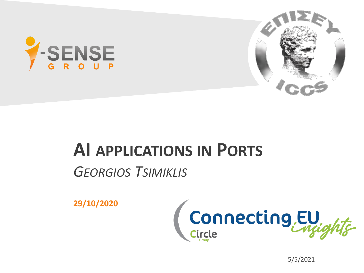



## **AI APPLICATIONS IN PORTS**

### *GEORGIOS TSIMIKLIS*

**29/10/2020**



5/5/2021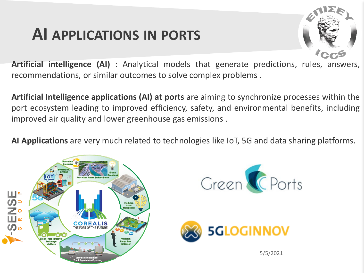# **AI APPLICATIONS IN PORTS**



**Artificial intelligence (AI)** : Analytical models that generate predictions, rules, answers, recommendations, or similar outcomes to solve complex problems .

**Artificial Intelligence applications (AI) at ports** are aiming to synchronize processes within the port ecosystem leading to improved efficiency, safety, and environmental benefits, including improved air quality and lower greenhouse gas emissions .

**AI Applications** are very much related to technologies like IoT, 5G and data sharing platforms.

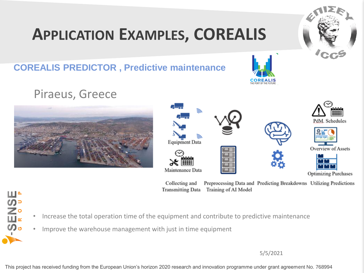# **APPLICATION EXAMPLES, COREALIS**

#### **COREALIS PREDICTOR , Predictive maintenance**

#### Piraeus, Greece

**SENSE** 

• Increase the total operation time of the equipment and contribute to predictive maintenance

Collecting and

**Transmitting Data** 

• Improve the warehouse management with just in time equipment

5/5/2021

Preprocessing Data and Predicting Breakdowns Utilizing Predictions

This project has received funding from the European Union's horizon 2020 research and innovation programme under grant agreement No. 768994





Training of AI Model



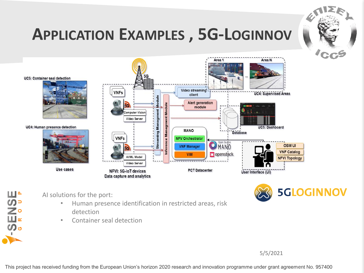

# **APPLICATION EXAMPLES , 5G-LOGINNOV**





AI solutions for the port:

**SENSE** 

- Human presence identification in restricted areas, risk detection
- Container seal detection

5/5/2021

This project has received funding from the European Union's horizon 2020 research and innovation programme under grant agreement No. 957400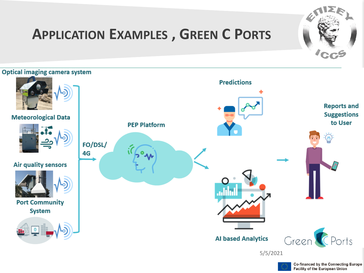

### **APPLICATION EXAMPLES , GREEN C PORTS**

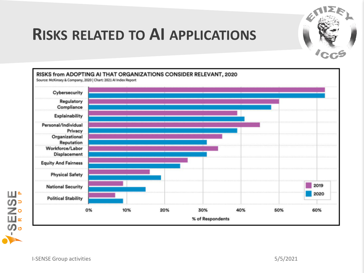

## **RISKS RELATED TO AI APPLICATIONS**



**SENSE**